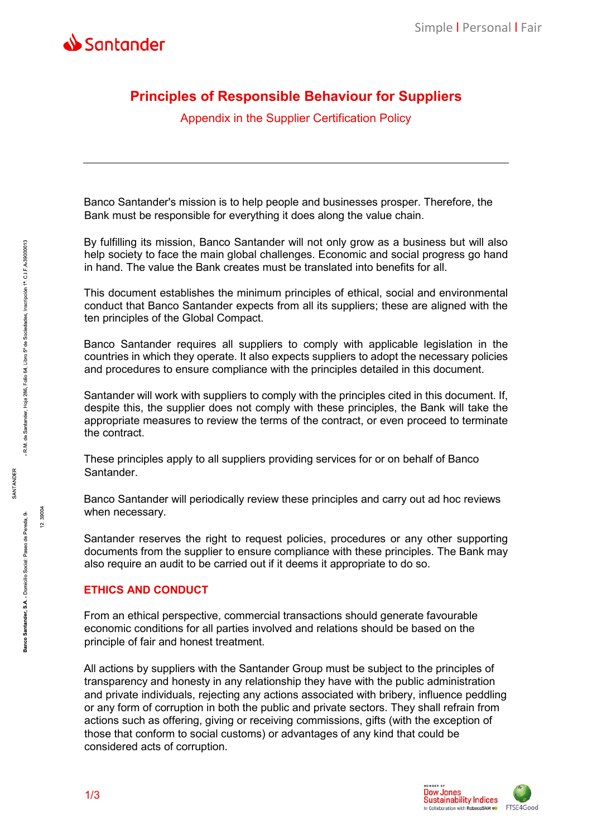

# **Principles of Responsible Behaviour for Suppliers**

Appendix in the Supplier Certification Policy

Banco Santander's mission is to help people and businesses prosper. Therefore, the Bank must be responsible for everything it does along the value chain.

By fulfilling its mission, Banco Santander will not only grow as a business but will also help society to face the main global challenges. Economic and social progress go hand in hand. The value the Bank creates must be translated into benefits for all.

This document establishes the minimum principles of ethical, social and environmental conduct that Banco Santander expects from all its suppliers; these are aligned with the ten principles of the Global Compact.

Banco Santander requires all suppliers to comply with applicable legislation in the countries in which they operate. It also expects suppliers to adopt the necessary policies and procedures to ensure compliance with the principles detailed in this document.

Santander will work with suppliers to comply with the principles cited in this document. If, despite this, the supplier does not comply with these principles, the Bank will take the appropriate measures to review the terms of the contract, or even proceed to terminate the contract.

These principles apply to all suppliers providing services for or on behalf of Banco Santander.

Banco Santander will periodically review these principles and carry out ad hoc reviews when necessary.

Santander reserves the right to request policies, procedures or any other supporting documents from the supplier to ensure compliance with these principles. The Bank may also require an audit to be carried out if it deems it appropriate to do so.

# **ETHICS AND CONDUCT**

From an ethical perspective, commercial transactions should generate favourable economic conditions for all parties involved and relations should be based on the principle of fair and honest treatment.

All actions by suppliers with the Santander Group must be subject to the principles of transparency and honesty in any relationship they have with the public administration and private individuals, rejecting any actions associated with bribery, influence peddling or any form of corruption in both the public and private sectors. They shall refrain from actions such as offering, giving or receiving commissions, gifts (with the exception of those that conform to social customs) or advantages of any kind that could be considered acts of corruption.

**SANTANDER** 

- R.M. de Santander, Hoja 286, Folio 64, Libro 5° de Sociedades, Inscripción 1ª. C.I.F.A-39000013

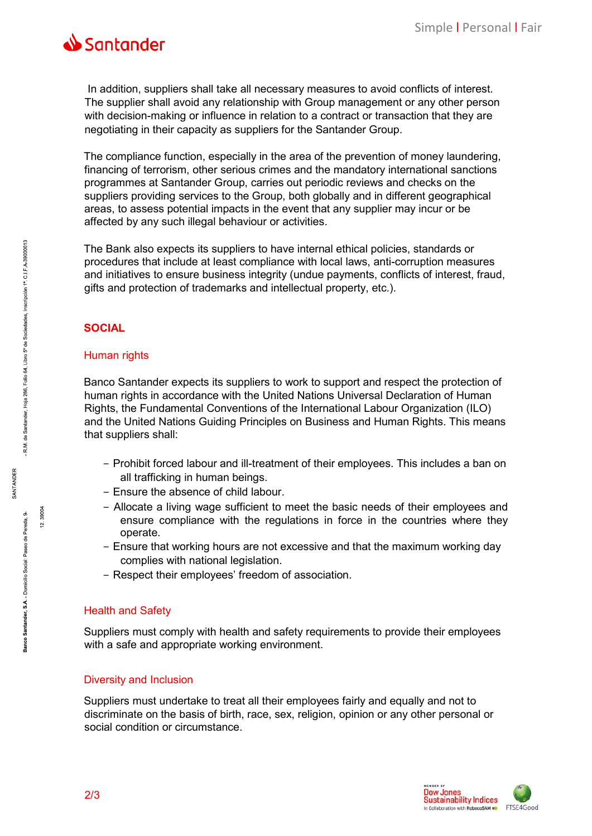

In addition, suppliers shall take all necessary measures to avoid conflicts of interest. The supplier shall avoid any relationship with Group management or any other person with decision-making or influence in relation to a contract or transaction that they are negotiating in their capacity as suppliers for the Santander Group.

The compliance function, especially in the area of the prevention of money laundering, financing of terrorism, other serious crimes and the mandatory international sanctions programmes at Santander Group, carries out periodic reviews and checks on the suppliers providing services to the Group, both globally and in different geographical areas, to assess potential impacts in the event that any supplier may incur or be affected by any such illegal behaviour or activities.

The Bank also expects its suppliers to have internal ethical policies, standards or procedures that include at least compliance with local laws, anti-corruption measures and initiatives to ensure business integrity (undue payments, conflicts of interest, fraud, gifts and protection of trademarks and intellectual property, etc.).

# **SOCIAL**

### Human rights

Banco Santander expects its suppliers to work to support and respect the protection of human rights in accordance with the United Nations Universal Declaration of Human Rights, the Fundamental Conventions of the International Labour Organization (ILO) and the United Nations Guiding Principles on Business and Human Rights. This means that suppliers shall:

- − Prohibit forced labour and ill-treatment of their employees. This includes a ban on all trafficking in human beings.
- − Ensure the absence of child labour.
- − Allocate a living wage sufficient to meet the basic needs of their employees and ensure compliance with the regulations in force in the countries where they operate.
- − Ensure that working hours are not excessive and that the maximum working day complies with national legislation.
- − Respect their employees' freedom of association.

#### Health and Safety

Suppliers must comply with health and safety requirements to provide their employees with a safe and appropriate working environment.

### Diversity and Inclusion

Suppliers must undertake to treat all their employees fairly and equally and not to discriminate on the basis of birth, race, sex, religion, opinion or any other personal or social condition or circumstance.



39004

 $\ddot{5}$ 

**SANTANDER**